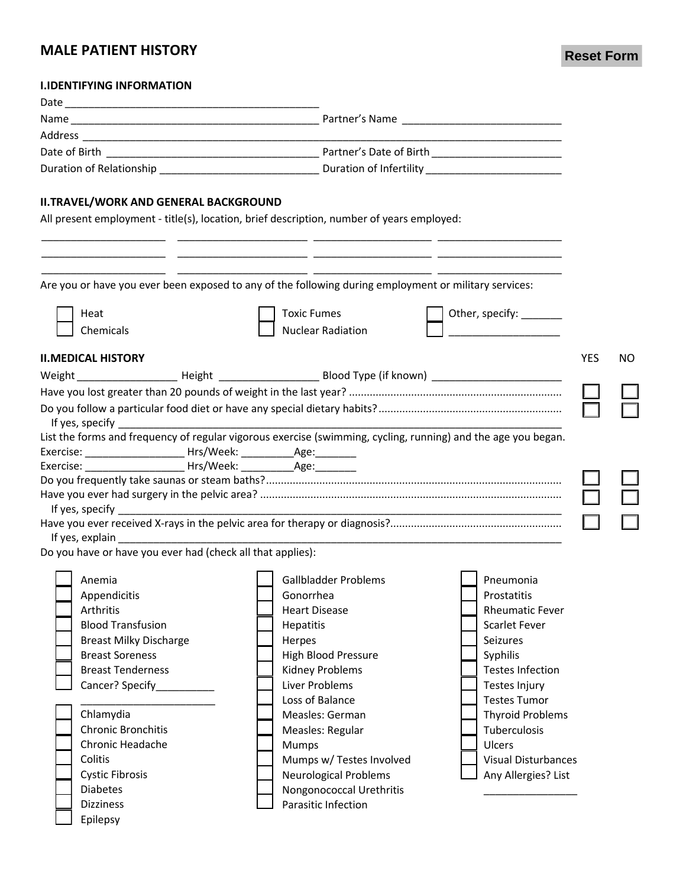# **MALE PATIENT HISTORY**

**Reset Form**

### **I.IDENTIFYING INFORMATION**

| <b>II.TRAVEL/WORK AND GENERAL BACKGROUND</b>                                                                                                                                                                                   |                                                                                                                        |                            |                   |
|--------------------------------------------------------------------------------------------------------------------------------------------------------------------------------------------------------------------------------|------------------------------------------------------------------------------------------------------------------------|----------------------------|-------------------|
|                                                                                                                                                                                                                                | All present employment - title(s), location, brief description, number of years employed:                              |                            |                   |
|                                                                                                                                                                                                                                |                                                                                                                        |                            |                   |
|                                                                                                                                                                                                                                | Are you or have you ever been exposed to any of the following during employment or military services:                  |                            |                   |
| Heat                                                                                                                                                                                                                           | <b>Toxic Fumes</b>                                                                                                     | Other, specify: ______     |                   |
| Chemicals                                                                                                                                                                                                                      | <b>Nuclear Radiation</b>                                                                                               |                            |                   |
| <b>II.MEDICAL HISTORY</b>                                                                                                                                                                                                      |                                                                                                                        |                            | <b>YES</b><br>NO. |
|                                                                                                                                                                                                                                | Weight _________________________Height _____________________________Blood Type (if known) __________________________   |                            |                   |
|                                                                                                                                                                                                                                |                                                                                                                        |                            |                   |
|                                                                                                                                                                                                                                |                                                                                                                        |                            |                   |
|                                                                                                                                                                                                                                | List the forms and frequency of regular vigorous exercise (swimming, cycling, running) and the age you began.          |                            |                   |
| Exercise: _______________________________ Hrs/Week: ____________________________                                                                                                                                               |                                                                                                                        |                            |                   |
|                                                                                                                                                                                                                                |                                                                                                                        |                            |                   |
|                                                                                                                                                                                                                                |                                                                                                                        |                            |                   |
|                                                                                                                                                                                                                                |                                                                                                                        |                            |                   |
| If yes, specify                                                                                                                                                                                                                |                                                                                                                        |                            |                   |
| If yes, explain example and the set of the set of the set of the set of the set of the set of the set of the set of the set of the set of the set of the set of the set of the set of the set of the set of the set of the set |                                                                                                                        |                            |                   |
| Do you have or have you ever had (check all that applies):                                                                                                                                                                     | <u> 1989 - Johann John Stone, mars et al. 1989 - John Stone, mars et al. 1989 - John Stone, mars et al. 1989 - Joh</u> |                            |                   |
|                                                                                                                                                                                                                                |                                                                                                                        |                            |                   |
| Anemia                                                                                                                                                                                                                         | <b>Gallbladder Problems</b>                                                                                            | Pneumonia                  |                   |
| Appendicitis                                                                                                                                                                                                                   | Gonorrhea                                                                                                              | Prostatitis                |                   |
| Arthritis                                                                                                                                                                                                                      | <b>Heart Disease</b>                                                                                                   | <b>Rheumatic Fever</b>     |                   |
| <b>Blood Transfusion</b>                                                                                                                                                                                                       | <b>Hepatitis</b>                                                                                                       | <b>Scarlet Fever</b>       |                   |
| <b>Breast Milky Discharge</b>                                                                                                                                                                                                  | Herpes                                                                                                                 | <b>Seizures</b>            |                   |
| <b>Breast Soreness</b>                                                                                                                                                                                                         | <b>High Blood Pressure</b>                                                                                             | Syphilis                   |                   |
| <b>Breast Tenderness</b>                                                                                                                                                                                                       | Kidney Problems                                                                                                        | <b>Testes Infection</b>    |                   |
| Cancer? Specify_                                                                                                                                                                                                               | <b>Liver Problems</b>                                                                                                  | Testes Injury              |                   |
|                                                                                                                                                                                                                                | Loss of Balance                                                                                                        | <b>Testes Tumor</b>        |                   |
| Chlamydia                                                                                                                                                                                                                      | Measles: German                                                                                                        | <b>Thyroid Problems</b>    |                   |
| <b>Chronic Bronchitis</b>                                                                                                                                                                                                      | Measles: Regular                                                                                                       | Tuberculosis               |                   |
| Chronic Headache                                                                                                                                                                                                               | Mumps                                                                                                                  | <b>Ulcers</b>              |                   |
| Colitis                                                                                                                                                                                                                        | Mumps w/ Testes Involved                                                                                               | <b>Visual Disturbances</b> |                   |
| <b>Cystic Fibrosis</b>                                                                                                                                                                                                         | <b>Neurological Problems</b>                                                                                           | Any Allergies? List        |                   |
| <b>Diabetes</b>                                                                                                                                                                                                                | Nongonococcal Urethritis                                                                                               |                            |                   |
| <b>Dizziness</b>                                                                                                                                                                                                               | Parasitic Infection                                                                                                    |                            |                   |
| Epilepsy                                                                                                                                                                                                                       |                                                                                                                        |                            |                   |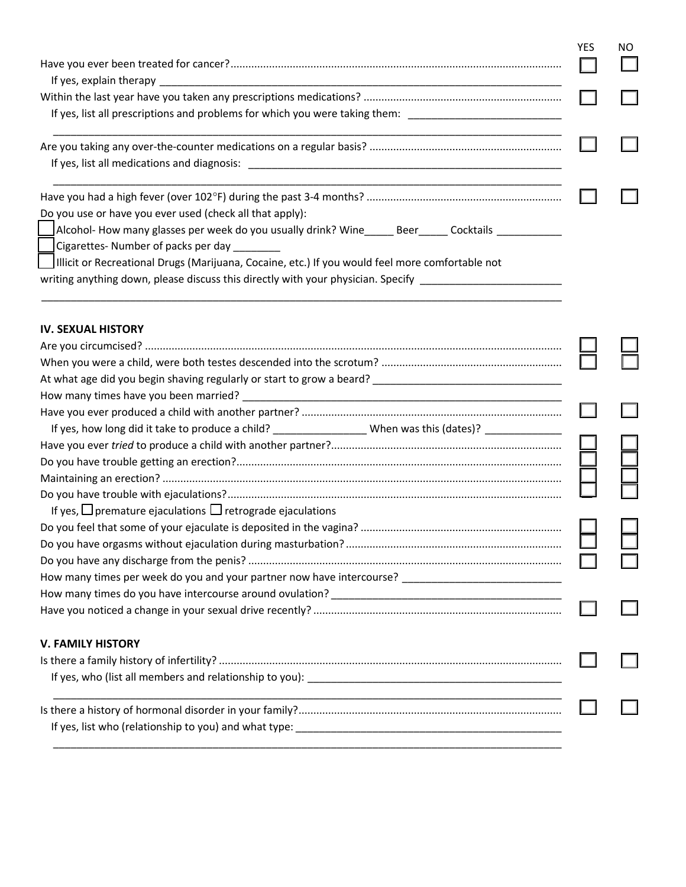|                                                                                                                | <b>YES</b> | NO |  |
|----------------------------------------------------------------------------------------------------------------|------------|----|--|
|                                                                                                                |            |    |  |
|                                                                                                                |            |    |  |
| If yes, list all prescriptions and problems for which you were taking them: __________________________________ |            |    |  |
|                                                                                                                |            |    |  |
|                                                                                                                |            |    |  |
|                                                                                                                |            |    |  |
|                                                                                                                |            |    |  |
| Do you use or have you ever used (check all that apply):                                                       |            |    |  |
| Alcohol-How many glasses per week do you usually drink? Wine_______Beer______Cocktails _____________           |            |    |  |
| Cigarettes-Number of packs per day _________                                                                   |            |    |  |
| Illicit or Recreational Drugs (Marijuana, Cocaine, etc.) If you would feel more comfortable not                |            |    |  |
| writing anything down, please discuss this directly with your physician. Specify _________________________     |            |    |  |
| <b>IV. SEXUAL HISTORY</b>                                                                                      |            |    |  |
|                                                                                                                |            |    |  |
|                                                                                                                |            |    |  |
|                                                                                                                |            |    |  |
|                                                                                                                |            |    |  |
|                                                                                                                |            |    |  |
| If yes, how long did it take to produce a child? ___________________When was this (dates)? _______________     |            |    |  |
|                                                                                                                |            |    |  |
|                                                                                                                |            |    |  |
|                                                                                                                |            |    |  |
|                                                                                                                |            |    |  |
| If yes, $\Box$ premature ejaculations $\Box$ retrograde ejaculations                                           |            |    |  |
|                                                                                                                |            |    |  |
|                                                                                                                |            |    |  |
|                                                                                                                |            |    |  |
| How many times per week do you and your partner now have intercourse? _____________________________            |            |    |  |
|                                                                                                                |            |    |  |
|                                                                                                                |            |    |  |
| <b>V. FAMILY HISTORY</b>                                                                                       |            |    |  |
|                                                                                                                |            |    |  |
|                                                                                                                |            |    |  |
|                                                                                                                |            |    |  |
|                                                                                                                |            |    |  |
|                                                                                                                |            |    |  |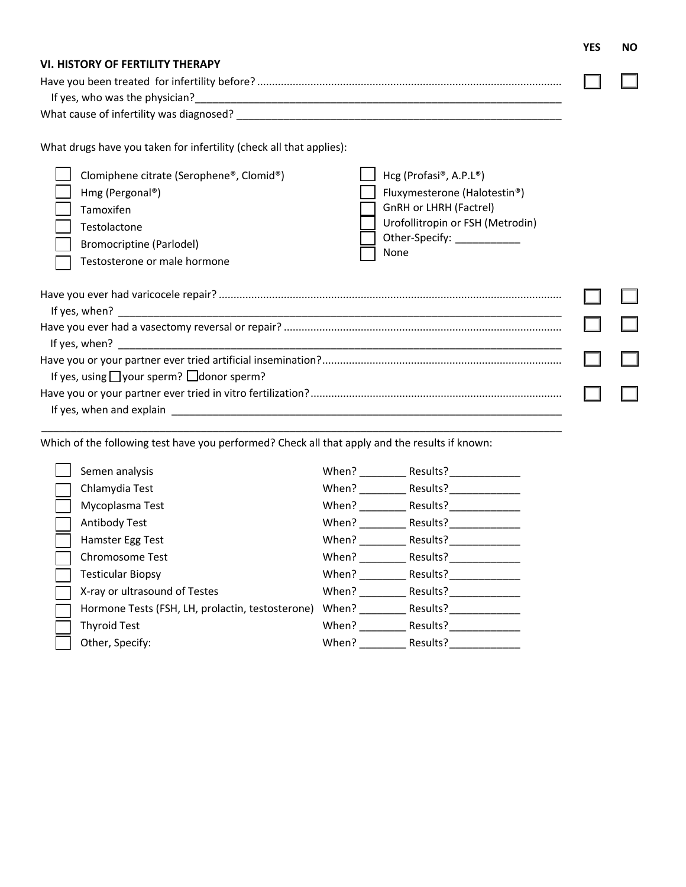|                                                                                                                 |                                                        | <b>YES</b> | <b>NO</b> |  |
|-----------------------------------------------------------------------------------------------------------------|--------------------------------------------------------|------------|-----------|--|
| <b>VI. HISTORY OF FERTILITY THERAPY</b>                                                                         |                                                        |            |           |  |
|                                                                                                                 |                                                        |            |           |  |
|                                                                                                                 |                                                        |            |           |  |
|                                                                                                                 |                                                        |            |           |  |
| What drugs have you taken for infertility (check all that applies):<br>Clomiphene citrate (Serophene®, Clomid®) | Hcg (Profasi®, A.P.L®)                                 |            |           |  |
| Hmg (Pergonal®)                                                                                                 | Fluxymesterone (Halotestin®)<br>GnRH or LHRH (Factrel) |            |           |  |
| Tamoxifen<br>Testolactone                                                                                       | Urofollitropin or FSH (Metrodin)                       |            |           |  |
| Bromocriptine (Parlodel)                                                                                        | Other-Specify: ____________                            |            |           |  |
| Testosterone or male hormone                                                                                    | None                                                   |            |           |  |
|                                                                                                                 |                                                        |            |           |  |
|                                                                                                                 |                                                        |            |           |  |
|                                                                                                                 |                                                        |            |           |  |
|                                                                                                                 |                                                        |            |           |  |
|                                                                                                                 |                                                        |            |           |  |
|                                                                                                                 |                                                        |            |           |  |
| If yes, using $\Box$ your sperm? $\Box$ donor sperm?                                                            |                                                        |            |           |  |
|                                                                                                                 |                                                        |            |           |  |
|                                                                                                                 |                                                        |            |           |  |

Which of the following test have you performed? Check all that apply and the results if known:

\_\_\_\_\_\_\_\_\_\_\_\_\_\_\_\_\_\_\_\_\_\_\_\_\_\_\_\_\_\_\_\_\_\_\_\_\_\_\_\_\_\_\_\_\_\_\_\_\_\_\_\_\_\_\_\_\_\_\_\_\_\_\_\_\_\_\_\_\_\_\_\_\_\_\_\_\_\_\_\_\_\_\_\_\_\_\_\_

| Semen analysis                                   | When? | Results? |
|--------------------------------------------------|-------|----------|
| Chlamydia Test                                   | When? | Results? |
| Mycoplasma Test                                  | When? | Results? |
| Antibody Test                                    | When? | Results? |
| Hamster Egg Test                                 | When? | Results? |
| Chromosome Test                                  | When? | Results? |
| <b>Testicular Biopsy</b>                         | When? | Results? |
| X-ray or ultrasound of Testes                    | When? | Results? |
| Hormone Tests (FSH, LH, prolactin, testosterone) | When? | Results? |
| <b>Thyroid Test</b>                              | When? | Results? |
| Other, Specify:                                  | When? | Results? |